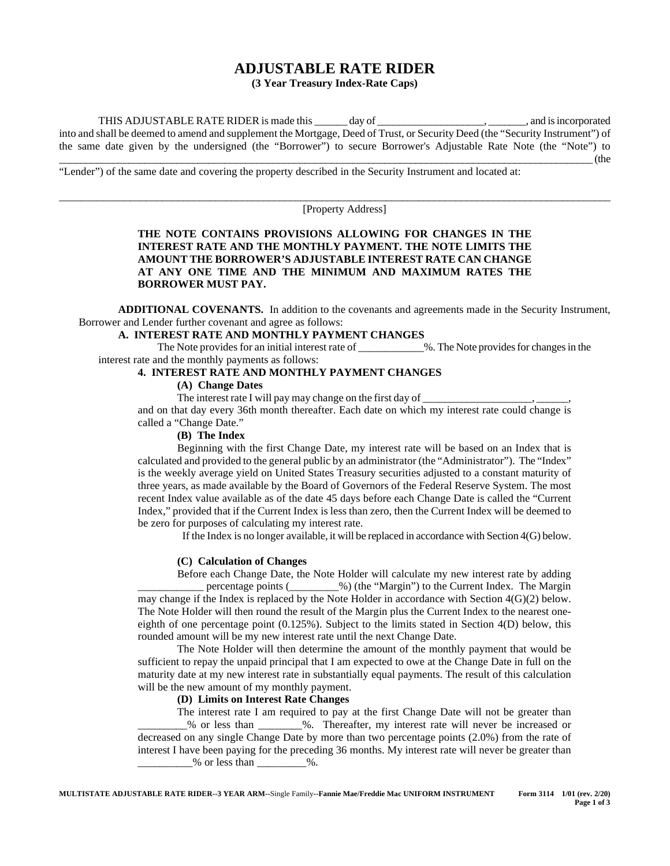# **ADJUSTABLE RATE RIDER**

**(3 Year Treasury Index-Rate Caps)**

THIS ADJUSTABLE RATE RIDER is made this \_\_\_\_\_ day of \_\_\_\_\_\_\_\_\_\_\_\_\_\_\_\_\_\_\_\_\_\_, \_\_\_\_\_\_, and is incorporated into and shall be deemed to amend and supplement the Mortgage, Deed of Trust, or Security Deed (the "Security Instrument") of the same date given by the undersigned (the "Borrower") to secure Borrower's Adjustable Rate Note (the "Note") to  $\Box$ 

"Lender") of the same date and covering the property described in the Security Instrument and located at:

# [Property Address]

\_\_\_\_\_\_\_\_\_\_\_\_\_\_\_\_\_\_\_\_\_\_\_\_\_\_\_\_\_\_\_\_\_\_\_\_\_\_\_\_\_\_\_\_\_\_\_\_\_\_\_\_\_\_\_\_\_\_\_\_\_\_\_\_\_\_\_\_\_\_\_\_\_\_\_\_\_\_\_\_\_\_\_\_\_\_\_\_\_\_\_\_\_\_\_\_\_\_\_\_\_\_\_

# **THE NOTE CONTAINS PROVISIONS ALLOWING FOR CHANGES IN THE INTEREST RATE AND THE MONTHLY PAYMENT. THE NOTE LIMITS THE AMOUNT THE BORROWER'S ADJUSTABLE INTEREST RATE CAN CHANGE AT ANY ONE TIME AND THE MINIMUM AND MAXIMUM RATES THE BORROWER MUST PAY.**

**ADDITIONAL COVENANTS.** In addition to the covenants and agreements made in the Security Instrument, Borrower and Lender further covenant and agree as follows:

# **A. INTEREST RATE AND MONTHLY PAYMENT CHANGES**

The Note provides for an initial interest rate of \_\_\_\_\_\_\_\_\_\_\_\_%. The Note provides for changes in the interest rate and the monthly payments as follows:

# **4. INTEREST RATE AND MONTHLY PAYMENT CHANGES**

**(A) Change Dates**

The interest rate I will pay may change on the first day of  $\Box$ 

and on that day every 36th month thereafter. Each date on which my interest rate could change is called a "Change Date."

# **(B) The Index**

Beginning with the first Change Date, my interest rate will be based on an Index that is calculated and provided to the general public by an administrator (the "Administrator"). The "Index" is the weekly average yield on United States Treasury securities adjusted to a constant maturity of three years, as made available by the Board of Governors of the Federal Reserve System. The most recent Index value available as of the date 45 days before each Change Date is called the "Current Index," provided that if the Current Index is less than zero, then the Current Index will be deemed to be zero for purposes of calculating my interest rate.

If the Index is no longer available, it will be replaced in accordance with Section 4(G) below.

#### **(C) Calculation of Changes**

Before each Change Date, the Note Holder will calculate my new interest rate by adding percentage points (2002) (the "Margin") to the Current Index. The Margin may change if the Index is replaced by the Note Holder in accordance with Section 4(G)(2) below. The Note Holder will then round the result of the Margin plus the Current Index to the nearest oneeighth of one percentage point (0.125%). Subject to the limits stated in Section 4(D) below, this rounded amount will be my new interest rate until the next Change Date.

The Note Holder will then determine the amount of the monthly payment that would be sufficient to repay the unpaid principal that I am expected to owe at the Change Date in full on the maturity date at my new interest rate in substantially equal payments. The result of this calculation will be the new amount of my monthly payment.

**(D) Limits on Interest Rate Changes**

The interest rate I am required to pay at the first Change Date will not be greater than \_\_\_\_\_\_\_\_\_% or less than \_\_\_\_\_\_\_\_%. Thereafter, my interest rate will never be increased or decreased on any single Change Date by more than two percentage points (2.0%) from the rate of interest I have been paying for the preceding 36 months. My interest rate will never be greater than  $\%$  or less than  $\%$ .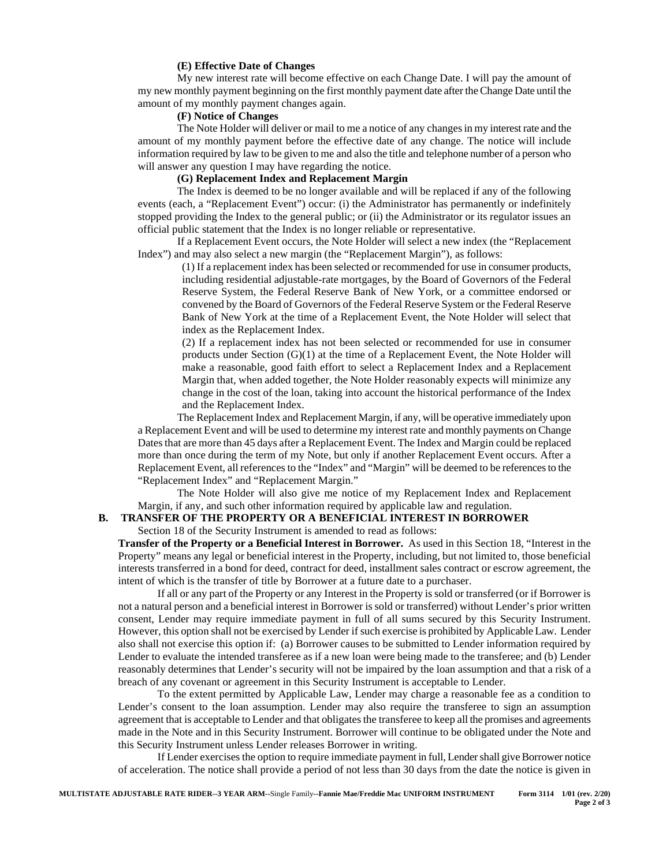#### **(E) Effective Date of Changes**

My new interest rate will become effective on each Change Date. I will pay the amount of my new monthly payment beginning on the first monthly payment date after the Change Date until the amount of my monthly payment changes again.

### **(F) Notice of Changes**

The Note Holder will deliver or mail to me a notice of any changes in my interest rate and the amount of my monthly payment before the effective date of any change. The notice will include information required by law to be given to me and also the title and telephone number of a person who will answer any question I may have regarding the notice.

#### **(G) Replacement Index and Replacement Margin**

The Index is deemed to be no longer available and will be replaced if any of the following events (each, a "Replacement Event") occur: (i) the Administrator has permanently or indefinitely stopped providing the Index to the general public; or (ii) the Administrator or its regulator issues an official public statement that the Index is no longer reliable or representative.

If a Replacement Event occurs, the Note Holder will select a new index (the "Replacement Index") and may also select a new margin (the "Replacement Margin"), as follows:

> (1) If a replacement index has been selected or recommended for use in consumer products, including residential adjustable-rate mortgages, by the Board of Governors of the Federal Reserve System, the Federal Reserve Bank of New York, or a committee endorsed or convened by the Board of Governors of the Federal Reserve System or the Federal Reserve Bank of New York at the time of a Replacement Event, the Note Holder will select that index as the Replacement Index.

> (2) If a replacement index has not been selected or recommended for use in consumer products under Section  $(G)(1)$  at the time of a Replacement Event, the Note Holder will make a reasonable, good faith effort to select a Replacement Index and a Replacement Margin that, when added together, the Note Holder reasonably expects will minimize any change in the cost of the loan, taking into account the historical performance of the Index and the Replacement Index.

The Replacement Index and Replacement Margin, if any, will be operative immediately upon a Replacement Event and will be used to determine my interest rate and monthly payments on Change Dates that are more than 45 days after a Replacement Event. The Index and Margin could be replaced more than once during the term of my Note, but only if another Replacement Event occurs. After a Replacement Event, all references to the "Index" and "Margin" will be deemed to be references to the "Replacement Index" and "Replacement Margin."

The Note Holder will also give me notice of my Replacement Index and Replacement Margin, if any, and such other information required by applicable law and regulation.

# **B. TRANSFER OF THE PROPERTY OR A BENEFICIAL INTEREST IN BORROWER**

Section 18 of the Security Instrument is amended to read as follows:

**Transfer of the Property or a Beneficial Interest in Borrower.** As used in this Section 18, "Interest in the Property" means any legal or beneficial interest in the Property, including, but not limited to, those beneficial interests transferred in a bond for deed, contract for deed, installment sales contract or escrow agreement, the intent of which is the transfer of title by Borrower at a future date to a purchaser.

If all or any part of the Property or any Interest in the Property is sold or transferred (or if Borrower is not a natural person and a beneficial interest in Borrower is sold or transferred) without Lender's prior written consent, Lender may require immediate payment in full of all sums secured by this Security Instrument. However, this option shall not be exercised by Lender if such exercise is prohibited by Applicable Law. Lender also shall not exercise this option if: (a) Borrower causes to be submitted to Lender information required by Lender to evaluate the intended transferee as if a new loan were being made to the transferee; and (b) Lender reasonably determines that Lender's security will not be impaired by the loan assumption and that a risk of a breach of any covenant or agreement in this Security Instrument is acceptable to Lender.

To the extent permitted by Applicable Law, Lender may charge a reasonable fee as a condition to Lender's consent to the loan assumption. Lender may also require the transferee to sign an assumption agreement that is acceptable to Lender and that obligates the transferee to keep all the promises and agreements made in the Note and in this Security Instrument. Borrower will continue to be obligated under the Note and this Security Instrument unless Lender releases Borrower in writing.

If Lender exercises the option to require immediate payment in full, Lender shall give Borrower notice of acceleration. The notice shall provide a period of not less than 30 days from the date the notice is given in